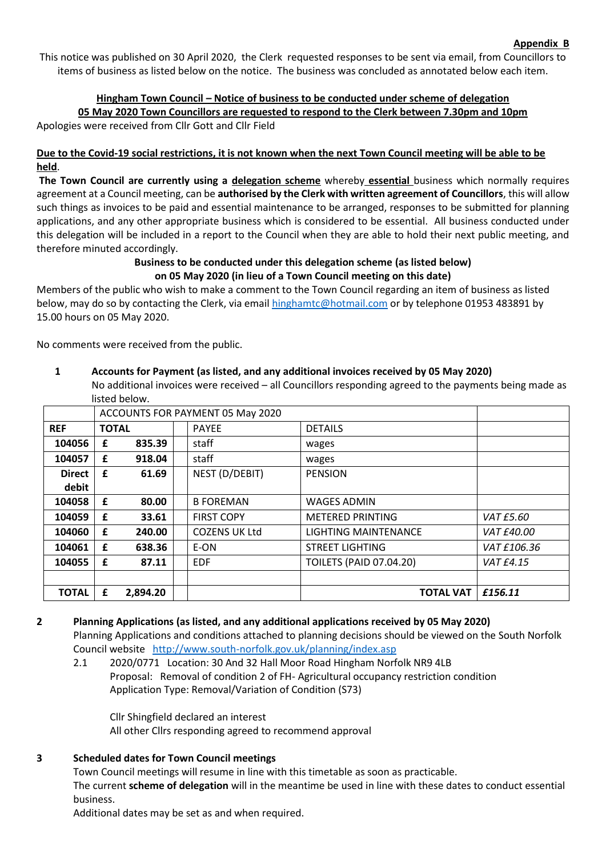This notice was published on 30 April 2020, the Clerk requested responses to be sent via email, from Councillors to items of business as listed below on the notice. The business was concluded as annotated below each item.

### **Hingham Town Council – Notice of business to be conducted under scheme of delegation 05 May 2020 Town Councillors are requested to respond to the Clerk between 7.30pm and 10pm**

Apologies were received from Cllr Gott and Cllr Field

#### **Due to the Covid-19 social restrictions, it is not known when the next Town Council meeting will be able to be held**.

**The Town Council are currently using a delegation scheme** whereby **essential** business which normally requires agreement at a Council meeting, can be **authorised by the Clerk with written agreement of Councillors**, this will allow such things as invoices to be paid and essential maintenance to be arranged, responses to be submitted for planning applications, and any other appropriate business which is considered to be essential. All business conducted under this delegation will be included in a report to the Council when they are able to hold their next public meeting, and therefore minuted accordingly.

#### **Business to be conducted under this delegation scheme (as listed below) on 05 May 2020 (in lieu of a Town Council meeting on this date)**

Members of the public who wish to make a comment to the Town Council regarding an item of business as listed below, may do so by contacting the Clerk, via email [hinghamtc@hotmail.com](mailto:hinghamtc@hotmail.com) or by telephone 01953 483891 by 15.00 hours on 05 May 2020.

No comments were received from the public.

# **1 Accounts for Payment (as listed, and any additional invoices received by 05 May 2020)**

No additional invoices were received – all Councillors responding agreed to the payments being made as listed below.

|               | ACCOUNTS FOR PAYMENT 05 May 2020 |          |  |                      |                                |                  |
|---------------|----------------------------------|----------|--|----------------------|--------------------------------|------------------|
| <b>REF</b>    | <b>TOTAL</b>                     |          |  | <b>PAYEE</b>         | <b>DETAILS</b>                 |                  |
| 104056        | £                                | 835.39   |  | staff                | wages                          |                  |
| 104057        | £                                | 918.04   |  | staff                | wages                          |                  |
| <b>Direct</b> | £                                | 61.69    |  | NEST (D/DEBIT)       | <b>PENSION</b>                 |                  |
| debit         |                                  |          |  |                      |                                |                  |
| 104058        | £                                | 80.00    |  | <b>B FOREMAN</b>     | <b>WAGES ADMIN</b>             |                  |
| 104059        | £                                | 33.61    |  | <b>FIRST COPY</b>    | <b>METERED PRINTING</b>        | <i>VAT £5.60</i> |
| 104060        | £                                | 240.00   |  | <b>COZENS UK Ltd</b> | LIGHTING MAINTENANCE           | VAT £40.00       |
| 104061        | £                                | 638.36   |  | E-ON                 | <b>STREET LIGHTING</b>         | VAT £106.36      |
| 104055        | £                                | 87.11    |  | <b>EDF</b>           | <b>TOILETS (PAID 07.04.20)</b> | VAT £4.15        |
|               |                                  |          |  |                      |                                |                  |
| <b>TOTAL</b>  | £                                | 2,894.20 |  |                      | <b>TOTAL VAT</b>               | £156.11          |

# **2 Planning Applications (as listed, and any additional applications received by 05 May 2020)** Planning Applications and conditions attached to planning decisions should be viewed on the South Norfolk

Council website <http://www.south-norfolk.gov.uk/planning/index.asp>

2.1 2020/0771 Location: 30 And 32 Hall Moor Road Hingham Norfolk NR9 4LB Proposal: Removal of condition 2 of FH- Agricultural occupancy restriction condition Application Type: Removal/Variation of Condition (S73)

Cllr Shingfield declared an interest All other Cllrs responding agreed to recommend approval

# **3 Scheduled dates for Town Council meetings**

Town Council meetings will resume in line with this timetable as soon as practicable. The current **scheme of delegation** will in the meantime be used in line with these dates to conduct essential business.

Additional dates may be set as and when required.